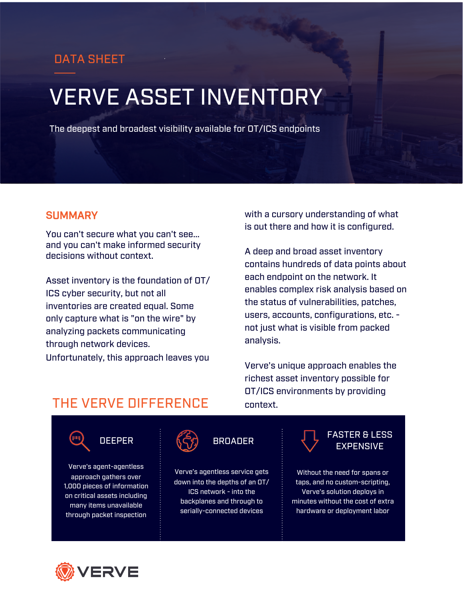## DATA SHEET

# VERVE ASSET INVENTORY

The deepest and broadest visibility available for OT/ICS endpoints

#### **S**UMMARY

You can't secure what you can't see... and you can't make informed security decisions without context.

Asset inventory is the foundation of OT/ ICS cyber security, but not all inventories are created equal. Some only capture what is "on the wire" by analyzing packets communicating through network devices. Unfortunately, this approach leaves you

with a cursory understanding of what is out there and how it is configured.

A deep and broad asset inventory contains hundreds of data points about each endpoint on the network. It enables complex risk analysis based on the status of vulnerabilities, patches, users, accounts, configurations, etc. not just what is visible from packed analysis.

Verve's unique approach enables the richest asset inventory possible for OT/ICS environments by providing context.

# THE VERVE DIFFERENCE



Verve's agent-agentless approach gathers over 1,000 pieces of information on critical assets including many items unavailable through packet inspection

Verve's agentless service gets down into the depths of an OT/ ICS network - into the backplanes and through to serially-connected devices



Without the need for spans or taps, and no custom-scripting, Verve's solution deploys in minutes without the cost of extra hardware or deployment labor

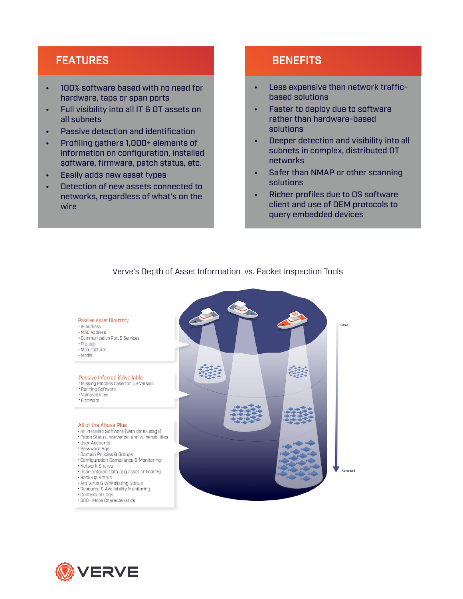### FEATURES

- 100% software based with no need for hardware, taps or span ports
- Full visibility into all IT & OT assets on all subnets
- Passive detection and identification
- Profiling gathers 1,000+ elements of information on configuration, installed software, firmware, patch status, etc.
- Easily adds new asset types
- Detection of new assets connected to networks, regardless of what's on the wire

#### **BENEFITS**

- Less expensive than network trafficbased solutions
- Faster to deploy due to software rather than hardware-based solutions
- Deeper detection and visibility into all subnets in complex, distributed OT networks
- Safer than NMAP or other scanning solutions
- Richer profiles due to OS software client and use of OEM protocols to query embedded devices



#### Verve's Depth of Asset Information vs. Packet Inspection Tools